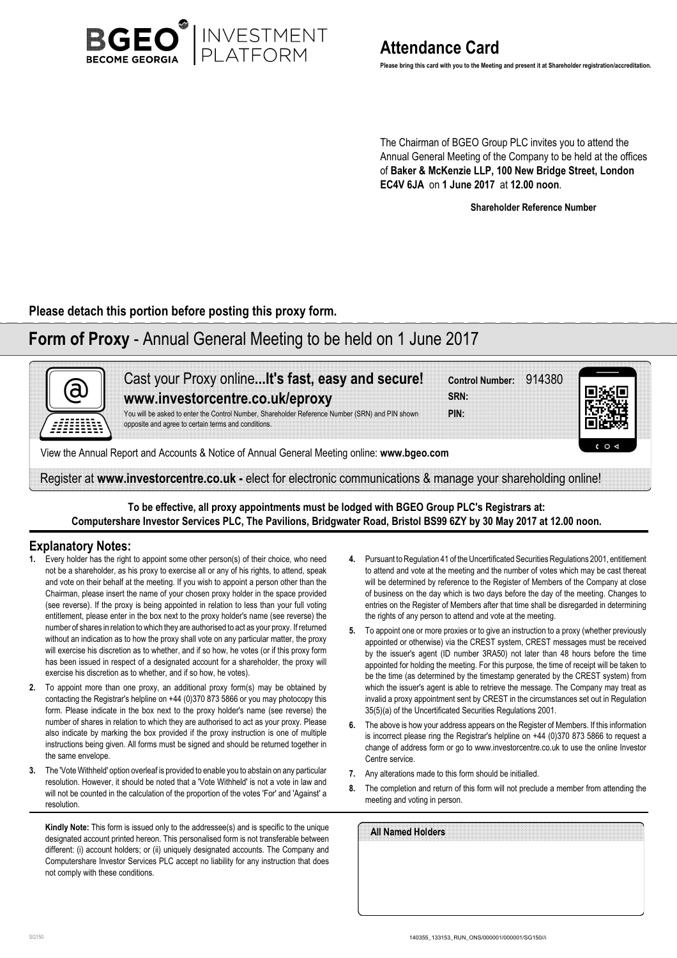

**Please bring this card with you to the Meeting and present it at Shareholder registration/accreditation.**

The Chairman of BGEO Group PLC invites you to attend the Annual General Meeting of the Company to be held at the offices of **Baker & McKenzie LLP, 100 New Bridge Street, London EC4V 6JA** on **1 June 2017** at **12.00 noon**.

**Shareholder Reference Number**

**Please detach this portion before posting this proxy form.**

# **Form of Proxy** - Annual General Meeting to be held on 1 June 2017



**To be effective, all proxy appointments must be lodged with BGEO Group PLC's Registrars at: Computershare Investor Services PLC, The Pavilions, Bridgwater Road, Bristol BS99 6ZY by 30 May 2017 at 12.00 noon.**

### **Explanatory Notes:**

- **1.** Every holder has the right to appoint some other person(s) of their choice, who need not be a shareholder, as his proxy to exercise all or any of his rights, to attend, speak and vote on their behalf at the meeting. If you wish to appoint a person other than the Chairman, please insert the name of your chosen proxy holder in the space provided (see reverse). If the proxy is being appointed in relation to less than your full voting entitlement, please enter in the box next to the proxy holder's name (see reverse) the number of shares in relation to which they are authorised to act as your proxy. If returned without an indication as to how the proxy shall vote on any particular matter, the proxy will exercise his discretion as to whether, and if so how, he votes (or if this proxy form has been issued in respect of a designated account for a shareholder, the proxy will exercise his discretion as to whether, and if so how, he votes).
- **2.** To appoint more than one proxy, an additional proxy form(s) may be obtained by contacting the Registrar's helpline on +44 (0)370 873 5866 or you may photocopy this form. Please indicate in the box next to the proxy holder's name (see reverse) the number of shares in relation to which they are authorised to act as your proxy. Please also indicate by marking the box provided if the proxy instruction is one of multiple instructions being given. All forms must be signed and should be returned together in the same envelope.
- **3.** The 'Vote Withheld' option overleaf is provided to enable you to abstain on any particular resolution. However, it should be noted that a 'Vote Withheld' is not a vote in law and will not be counted in the calculation of the proportion of the votes 'For' and 'Against' a resolution.

**Kindly Note:** This form is issued only to the addressee(s) and is specific to the unique designated account printed hereon. This personalised form is not transferable between different: (i) account holders; or (ii) uniquely designated accounts. The Company and Computershare Investor Services PLC accept no liability for any instruction that does not comply with these conditions.

- **4.** Pursuant to Regulation 41 of the Uncertificated Securities Regulations 2001, entitlement to attend and vote at the meeting and the number of votes which may be cast thereat will be determined by reference to the Register of Members of the Company at close of business on the day which is two days before the day of the meeting. Changes to entries on the Register of Members after that time shall be disregarded in determining the rights of any person to attend and vote at the meeting.
- **5.** To appoint one or more proxies or to give an instruction to a proxy (whether previously appointed or otherwise) via the CREST system, CREST messages must be received by the issuer's agent (ID number 3RA50) not later than 48 hours before the time appointed for holding the meeting. For this purpose, the time of receipt will be taken to be the time (as determined by the timestamp generated by the CREST system) from which the issuer's agent is able to retrieve the message. The Company may treat as invalid a proxy appointment sent by CREST in the circumstances set out in Regulation 35(5)(a) of the Uncertificated Securities Regulations 2001.
- **6.** The above is how your address appears on the Register of Members. If this information is incorrect please ring the Registrar's helpline on +44 (0)370 873 5866 to request a change of address form or go to www.investorcentre.co.uk to use the online Investor Centre service.
- **7.** Any alterations made to this form should be initialled.
- **8.** The completion and return of this form will not preclude a member from attending the meeting and voting in person.

| All Named Holders |  |  |  |
|-------------------|--|--|--|
|                   |  |  |  |
|                   |  |  |  |
|                   |  |  |  |
|                   |  |  |  |